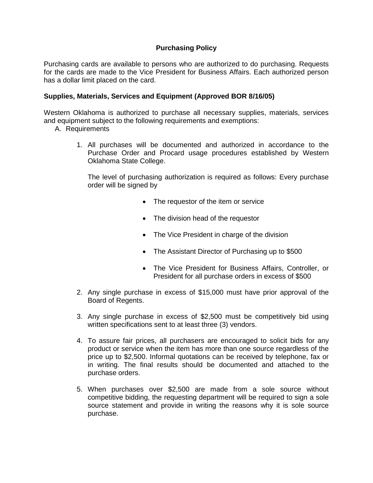## **Purchasing Policy**

Purchasing cards are available to persons who are authorized to do purchasing. Requests for the cards are made to the Vice President for Business Affairs. Each authorized person has a dollar limit placed on the card.

## **Supplies, Materials, Services and Equipment (Approved BOR 8/16/05)**

Western Oklahoma is authorized to purchase all necessary supplies, materials, services and equipment subject to the following requirements and exemptions:

- A. Requirements
	- 1. All purchases will be documented and authorized in accordance to the Purchase Order and Procard usage procedures established by Western Oklahoma State College.

The level of purchasing authorization is required as follows: Every purchase order will be signed by

- The requestor of the item or service
- The division head of the requestor
- The Vice President in charge of the division
- The Assistant Director of Purchasing up to \$500
- The Vice President for Business Affairs, Controller, or President for all purchase orders in excess of \$500
- 2. Any single purchase in excess of \$15,000 must have prior approval of the Board of Regents.
- 3. Any single purchase in excess of \$2,500 must be competitively bid using written specifications sent to at least three (3) vendors.
- 4. To assure fair prices, all purchasers are encouraged to solicit bids for any product or service when the item has more than one source regardless of the price up to \$2,500. Informal quotations can be received by telephone, fax or in writing. The final results should be documented and attached to the purchase orders.
- 5. When purchases over \$2,500 are made from a sole source without competitive bidding, the requesting department will be required to sign a sole source statement and provide in writing the reasons why it is sole source purchase.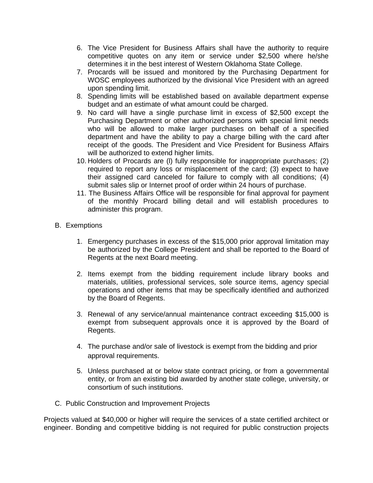- 6. The Vice President for Business Affairs shall have the authority to require competitive quotes on any item or service under \$2,500 where he/she determines it in the best interest of Western Oklahoma State College.
- 7. Procards will be issued and monitored by the Purchasing Department for WOSC employees authorized by the divisional Vice President with an agreed upon spending limit.
- 8. Spending limits will be established based on available department expense budget and an estimate of what amount could be charged.
- 9. No card will have a single purchase limit in excess of \$2,500 except the Purchasing Department or other authorized persons with special limit needs who will be allowed to make larger purchases on behalf of a specified department and have the ability to pay a charge billing with the card after receipt of the goods. The President and Vice President for Business Affairs will be authorized to extend higher limits.
- 10. Holders of Procards are (l) fully responsible for inappropriate purchases; (2) required to report any loss or misplacement of the card; (3) expect to have their assigned card canceled for failure to comply with all conditions; (4) submit sales slip or Internet proof of order within 24 hours of purchase.
- 11. The Business Affairs Office will be responsible for final approval for payment of the monthly Procard billing detail and will establish procedures to administer this program.
- B. Exemptions
	- 1. Emergency purchases in excess of the \$15,000 prior approval limitation may be authorized by the College President and shall be reported to the Board of Regents at the next Board meeting.
	- 2. Items exempt from the bidding requirement include library books and materials, utilities, professional services, sole source items, agency special operations and other items that may be specifically identified and authorized by the Board of Regents.
	- 3. Renewal of any service/annual maintenance contract exceeding \$15,000 is exempt from subsequent approvals once it is approved by the Board of Regents.
	- 4. The purchase and/or sale of livestock is exempt from the bidding and prior approval requirements.
	- 5. Unless purchased at or below state contract pricing, or from a governmental entity, or from an existing bid awarded by another state college, university, or consortium of such institutions.
- C. Public Construction and Improvement Projects

Projects valued at \$40,000 or higher will require the services of a state certified architect or engineer. Bonding and competitive bidding is not required for public construction projects